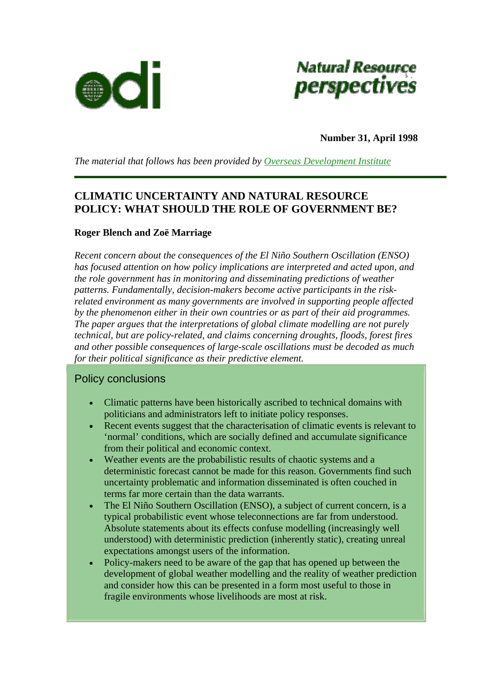



**Number 31, April 1998** 

*The material that follows has been provided by [Overseas Development Institute](http://www.odi.org.uk/index.html)*

# **CLIMATIC UNCERTAINTY AND NATURAL RESOURCE POLICY: WHAT SHOULD THE ROLE OF GOVERNMENT BE?**

### **Roger Blench and Zoë Marriage**

*Recent concern about the consequences of the El Niño Southern Oscillation (ENSO) has focused attention on how policy implications are interpreted and acted upon, and the role government has in monitoring and disseminating predictions of weather patterns. Fundamentally, decision-makers become active participants in the riskrelated environment as many governments are involved in supporting people affected by the phenomenon either in their own countries or as part of their aid programmes. The paper argues that the interpretations of global climate modelling are not purely technical, but are policy-related, and claims concerning droughts, floods, forest fires and other possible consequences of large-scale oscillations must be decoded as much for their political significance as their predictive element.*

## Policy conclusions

- Climatic patterns have been historically ascribed to technical domains with politicians and administrators left to initiate policy responses.
- Recent events suggest that the characterisation of climatic events is relevant to 'normal' conditions, which are socially defined and accumulate significance from their political and economic context.
- Weather events are the probabilistic results of chaotic systems and a deterministic forecast cannot be made for this reason. Governments find such uncertainty problematic and information disseminated is often couched in terms far more certain than the data warrants.
- The El Niño Southern Oscillation (ENSO), a subject of current concern, is a typical probabilistic event whose teleconnections are far from understood. Absolute statements about its effects confuse modelling (increasingly well understood) with deterministic prediction (inherently static), creating unreal expectations amongst users of the information.
- Policy-makers need to be aware of the gap that has opened up between the development of global weather modelling and the reality of weather prediction and consider how this can be presented in a form most useful to those in fragile environments whose livelihoods are most at risk.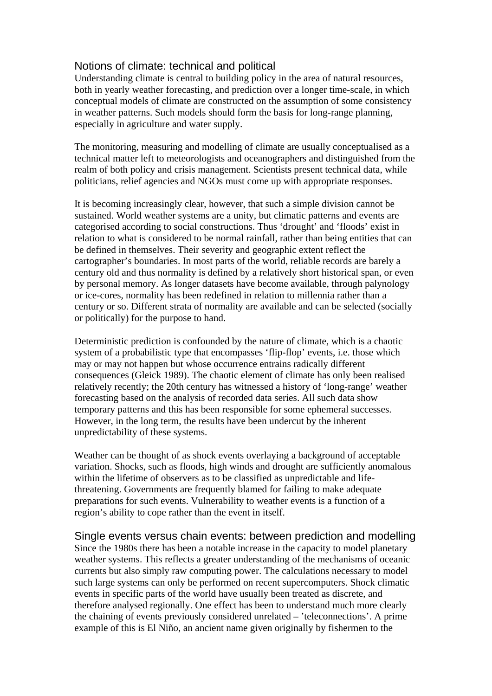## Notions of climate: technical and political

Understanding climate is central to building policy in the area of natural resources, both in yearly weather forecasting, and prediction over a longer time-scale, in which conceptual models of climate are constructed on the assumption of some consistency in weather patterns. Such models should form the basis for long-range planning, especially in agriculture and water supply.

The monitoring, measuring and modelling of climate are usually conceptualised as a technical matter left to meteorologists and oceanographers and distinguished from the realm of both policy and crisis management. Scientists present technical data, while politicians, relief agencies and NGOs must come up with appropriate responses.

It is becoming increasingly clear, however, that such a simple division cannot be sustained. World weather systems are a unity, but climatic patterns and events are categorised according to social constructions. Thus 'drought' and 'floods' exist in relation to what is considered to be normal rainfall, rather than being entities that can be defined in themselves. Their severity and geographic extent reflect the cartographer's boundaries. In most parts of the world, reliable records are barely a century old and thus normality is defined by a relatively short historical span, or even by personal memory. As longer datasets have become available, through palynology or ice-cores, normality has been redefined in relation to millennia rather than a century or so. Different strata of normality are available and can be selected (socially or politically) for the purpose to hand.

Deterministic prediction is confounded by the nature of climate, which is a chaotic system of a probabilistic type that encompasses 'flip-flop' events, i.e. those which may or may not happen but whose occurrence entrains radically different consequences (Gleick 1989). The chaotic element of climate has only been realised relatively recently; the 20th century has witnessed a history of 'long-range' weather forecasting based on the analysis of recorded data series. All such data show temporary patterns and this has been responsible for some ephemeral successes. However, in the long term, the results have been undercut by the inherent unpredictability of these systems.

Weather can be thought of as shock events overlaying a background of acceptable variation. Shocks, such as floods, high winds and drought are sufficiently anomalous within the lifetime of observers as to be classified as unpredictable and lifethreatening. Governments are frequently blamed for failing to make adequate preparations for such events. Vulnerability to weather events is a function of a region's ability to cope rather than the event in itself.

Single events versus chain events: between prediction and modelling Since the 1980s there has been a notable increase in the capacity to model planetary weather systems. This reflects a greater understanding of the mechanisms of oceanic currents but also simply raw computing power. The calculations necessary to model such large systems can only be performed on recent supercomputers. Shock climatic events in specific parts of the world have usually been treated as discrete, and therefore analysed regionally. One effect has been to understand much more clearly the chaining of events previously considered unrelated – 'teleconnections'. A prime example of this is El Niño, an ancient name given originally by fishermen to the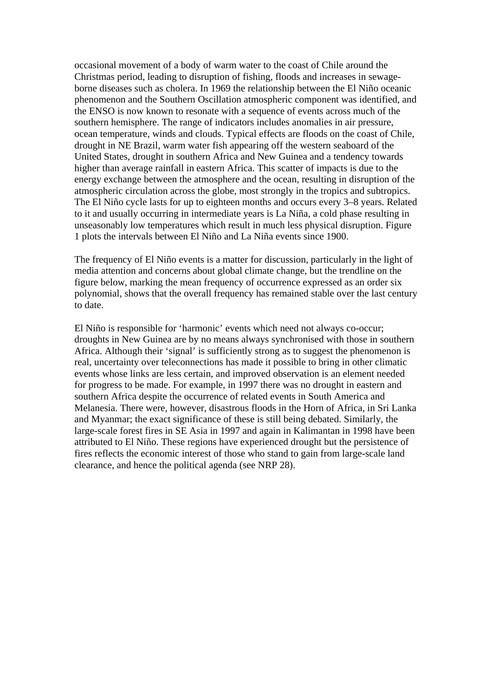occasional movement of a body of warm water to the coast of Chile around the Christmas period, leading to disruption of fishing, floods and increases in sewageborne diseases such as cholera. In 1969 the relationship between the El Niño oceanic phenomenon and the Southern Oscillation atmospheric component was identified, and the ENSO is now known to resonate with a sequence of events across much of the southern hemisphere. The range of indicators includes anomalies in air pressure, ocean temperature, winds and clouds. Typical effects are floods on the coast of Chile, drought in NE Brazil, warm water fish appearing off the western seaboard of the United States, drought in southern Africa and New Guinea and a tendency towards higher than average rainfall in eastern Africa. This scatter of impacts is due to the energy exchange between the atmosphere and the ocean, resulting in disruption of the atmospheric circulation across the globe, most strongly in the tropics and subtropics. The El Niño cycle lasts for up to eighteen months and occurs every 3–8 years. Related to it and usually occurring in intermediate years is La Niña, a cold phase resulting in unseasonably low temperatures which result in much less physical disruption. Figure 1 plots the intervals between El Niño and La Niña events since 1900.

The frequency of El Niño events is a matter for discussion, particularly in the light of media attention and concerns about global climate change, but the trendline on the figure below, marking the mean frequency of occurrence expressed as an order six polynomial, shows that the overall frequency has remained stable over the last century to date.

El Niño is responsible for 'harmonic' events which need not always co-occur; droughts in New Guinea are by no means always synchronised with those in southern Africa. Although their 'signal' is sufficiently strong as to suggest the phenomenon is real, uncertainty over teleconnections has made it possible to bring in other climatic events whose links are less certain, and improved observation is an element needed for progress to be made. For example, in 1997 there was no drought in eastern and southern Africa despite the occurrence of related events in South America and Melanesia. There were, however, disastrous floods in the Horn of Africa, in Sri Lanka and Myanmar; the exact significance of these is still being debated. Similarly, the large-scale forest fires in SE Asia in 1997 and again in Kalimantan in 1998 have been attributed to El Niño. These regions have experienced drought but the persistence of fires reflects the economic interest of those who stand to gain from large-scale land clearance, and hence the political agenda (see NRP 28).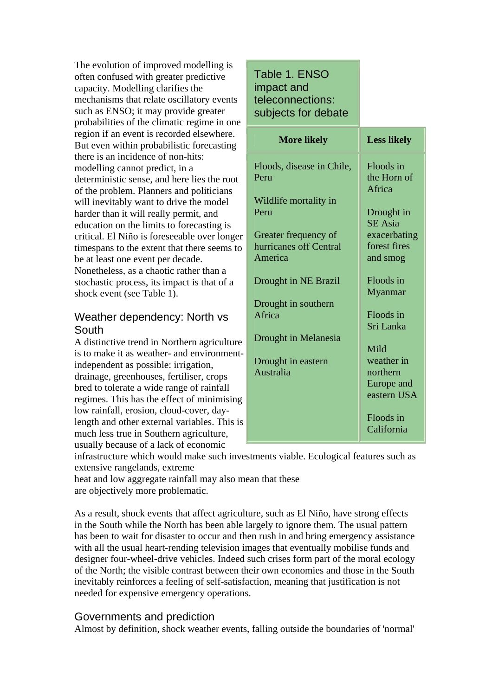The evolution of improved modelling is often confused with greater predictive capacity. Modelling clarifies the mechanisms that relate oscillatory events such as ENSO; it may provide greater probabilities of the climatic regime in one region if an event is recorded elsewhere. But even within probabilistic forecasting there is an incidence of non-hits: modelling cannot predict, in a deterministic sense, and here lies the root of the problem. Planners and politicians will inevitably want to drive the model harder than it will really permit, and education on the limits to forecasting is critical. El Niño is foreseeable over longer timespans to the extent that there seems to be at least one event per decade. Nonetheless, as a chaotic rather than a stochastic process, its impact is that of a shock event (see Table 1).

# Weather dependency: North vs South

A distinctive trend in Northern agriculture is to make it as weather- and environmentindependent as possible: irrigation, drainage, greenhouses, fertiliser, crops bred to tolerate a wide range of rainfall regimes. This has the effect of minimising low rainfall, erosion, cloud-cover, daylength and other external variables. This is much less true in Southern agriculture, usually because of a lack of economic

#### Table 1. ENSO impact and teleconnections: subjects for debate **More likely Less likely** Floods, disease in Chile, Peru Wildlife mortality in Peru Greater frequency of hurricanes off Central America Drought in NE Brazil Drought in southern Africa Drought in Melanesia Drought in eastern Australia Floods in the Horn of Africa Drought in SE Asia exacerbating forest fires and smog Floods in Myanmar Floods in Sri Lanka Mild weather in

northern Europe and eastern USA

> Floods in California

infrastructure which would make such investments viable. Ecological features such as extensive rangelands, extreme

heat and low aggregate rainfall may also mean that these are objectively more problematic.

As a result, shock events that affect agriculture, such as El Niño, have strong effects in the South while the North has been able largely to ignore them. The usual pattern has been to wait for disaster to occur and then rush in and bring emergency assistance with all the usual heart-rending television images that eventually mobilise funds and designer four-wheel-drive vehicles. Indeed such crises form part of the moral ecology of the North; the visible contrast between their own economies and those in the South inevitably reinforces a feeling of self-satisfaction, meaning that justification is not needed for expensive emergency operations.

## Governments and prediction

Almost by definition, shock weather events, falling outside the boundaries of 'normal'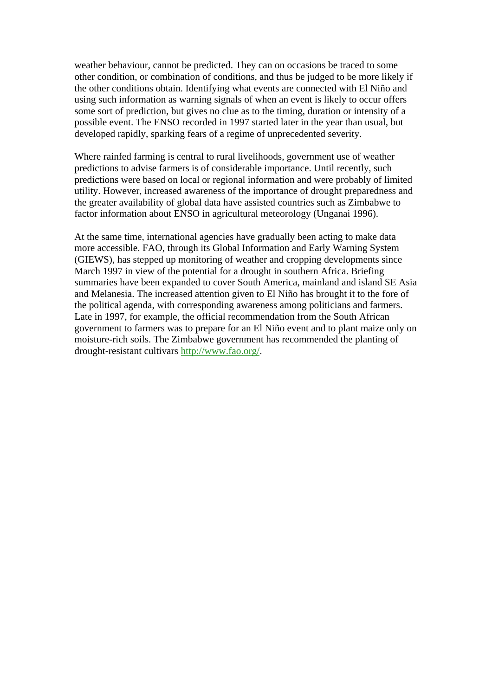weather behaviour, cannot be predicted. They can on occasions be traced to some other condition, or combination of conditions, and thus be judged to be more likely if the other conditions obtain. Identifying what events are connected with El Niño and using such information as warning signals of when an event is likely to occur offers some sort of prediction, but gives no clue as to the timing, duration or intensity of a possible event. The ENSO recorded in 1997 started later in the year than usual, but developed rapidly, sparking fears of a regime of unprecedented severity.

Where rainfed farming is central to rural livelihoods, government use of weather predictions to advise farmers is of considerable importance. Until recently, such predictions were based on local or regional information and were probably of limited utility. However, increased awareness of the importance of drought preparedness and the greater availability of global data have assisted countries such as Zimbabwe to factor information about ENSO in agricultural meteorology (Unganai 1996).

At the same time, international agencies have gradually been acting to make data more accessible. FAO, through its Global Information and Early Warning System (GIEWS), has stepped up monitoring of weather and cropping developments since March 1997 in view of the potential for a drought in southern Africa. Briefing summaries have been expanded to cover South America, mainland and island SE Asia and Melanesia. The increased attention given to El Niño has brought it to the fore of the political agenda, with corresponding awareness among politicians and farmers. Late in 1997, for example, the official recommendation from the South African government to farmers was to prepare for an El Niño event and to plant maize only on moisture-rich soils. The Zimbabwe government has recommended the planting of drought-resistant cultivars [http://www.fao.org/.](http://www.fao.org/)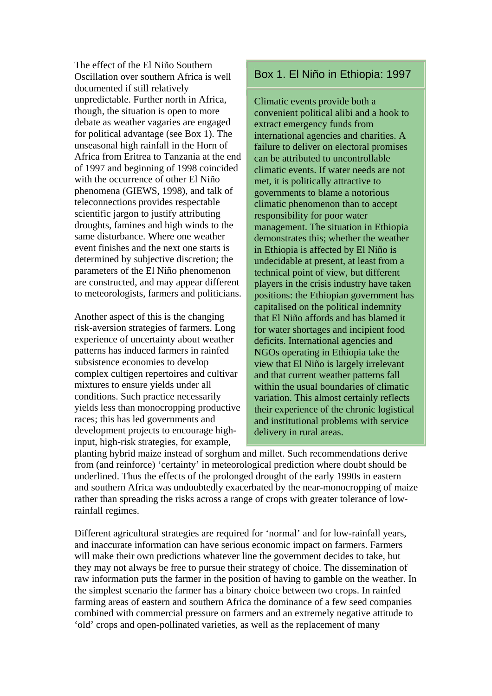The effect of the El Niño Southern Oscillation over southern Africa is well documented if still relatively unpredictable. Further north in Africa, though, the situation is open to more debate as weather vagaries are engaged for political advantage (see Box 1). The unseasonal high rainfall in the Horn of Africa from Eritrea to Tanzania at the end of 1997 and beginning of 1998 coincided with the occurrence of other El Niño phenomena (GIEWS, 1998), and talk of teleconnections provides respectable scientific jargon to justify attributing droughts, famines and high winds to the same disturbance. Where one weather event finishes and the next one starts is determined by subjective discretion; the parameters of the El Niño phenomenon are constructed, and may appear different to meteorologists, farmers and politicians.

Another aspect of this is the changing risk-aversion strategies of farmers. Long experience of uncertainty about weather patterns has induced farmers in rainfed subsistence economies to develop complex cultigen repertoires and cultivar mixtures to ensure yields under all conditions. Such practice necessarily yields less than monocropping productive races; this has led governments and development projects to encourage highinput, high-risk strategies, for example,

# Box 1. El Niño in Ethiopia: 1997

Climatic events provide both a convenient political alibi and a hook to extract emergency funds from international agencies and charities. A failure to deliver on electoral promises can be attributed to uncontrollable climatic events. If water needs are not met, it is politically attractive to governments to blame a notorious climatic phenomenon than to accept responsibility for poor water management. The situation in Ethiopia demonstrates this; whether the weather in Ethiopia is affected by El Niño is undecidable at present, at least from a technical point of view, but different players in the crisis industry have taken positions: the Ethiopian government has capitalised on the political indemnity that El Niño affords and has blamed it for water shortages and incipient food deficits. International agencies and NGOs operating in Ethiopia take the view that El Niño is largely irrelevant and that current weather patterns fall within the usual boundaries of climatic variation. This almost certainly reflects their experience of the chronic logistical and institutional problems with service delivery in rural areas.

planting hybrid maize instead of sorghum and millet. Such recommendations derive from (and reinforce) 'certainty' in meteorological prediction where doubt should be underlined. Thus the effects of the prolonged drought of the early 1990s in eastern and southern Africa was undoubtedly exacerbated by the near-monocropping of maize rather than spreading the risks across a range of crops with greater tolerance of lowrainfall regimes.

Different agricultural strategies are required for 'normal' and for low-rainfall years, and inaccurate information can have serious economic impact on farmers. Farmers will make their own predictions whatever line the government decides to take, but they may not always be free to pursue their strategy of choice. The dissemination of raw information puts the farmer in the position of having to gamble on the weather. In the simplest scenario the farmer has a binary choice between two crops. In rainfed farming areas of eastern and southern Africa the dominance of a few seed companies combined with commercial pressure on farmers and an extremely negative attitude to 'old' crops and open-pollinated varieties, as well as the replacement of many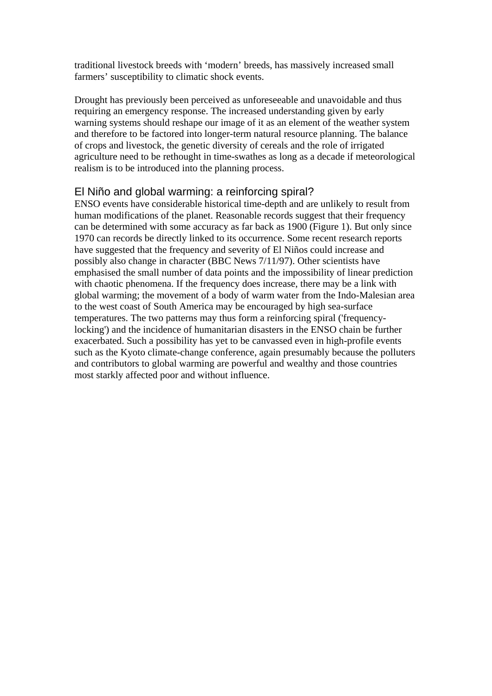traditional livestock breeds with 'modern' breeds, has massively increased small farmers' susceptibility to climatic shock events.

Drought has previously been perceived as unforeseeable and unavoidable and thus requiring an emergency response. The increased understanding given by early warning systems should reshape our image of it as an element of the weather system and therefore to be factored into longer-term natural resource planning. The balance of crops and livestock, the genetic diversity of cereals and the role of irrigated agriculture need to be rethought in time-swathes as long as a decade if meteorological realism is to be introduced into the planning process.

## El Niño and global warming: a reinforcing spiral?

ENSO events have considerable historical time-depth and are unlikely to result from human modifications of the planet. Reasonable records suggest that their frequency can be determined with some accuracy as far back as 1900 (Figure 1). But only since 1970 can records be directly linked to its occurrence. Some recent research reports have suggested that the frequency and severity of El Niños could increase and possibly also change in character (BBC News 7/11/97). Other scientists have emphasised the small number of data points and the impossibility of linear prediction with chaotic phenomena. If the frequency does increase, there may be a link with global warming; the movement of a body of warm water from the Indo-Malesian area to the west coast of South America may be encouraged by high sea-surface temperatures. The two patterns may thus form a reinforcing spiral ('frequencylocking') and the incidence of humanitarian disasters in the ENSO chain be further exacerbated. Such a possibility has yet to be canvassed even in high-profile events such as the Kyoto climate-change conference, again presumably because the polluters and contributors to global warming are powerful and wealthy and those countries most starkly affected poor and without influence.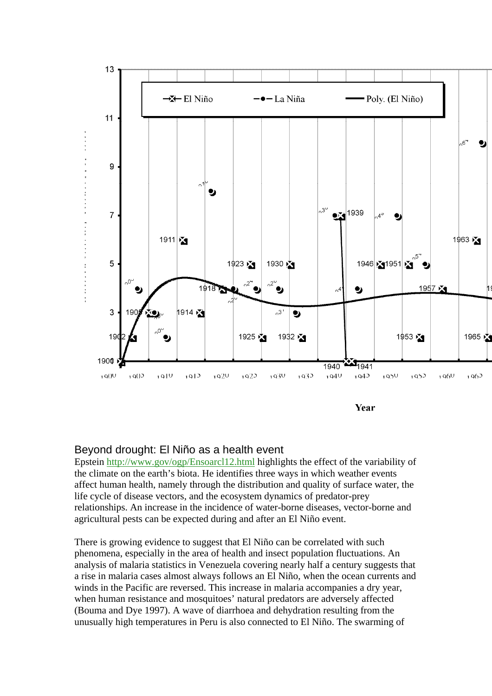

## Beyond drought: El Niño as a health event

Epstein<http://www.gov/ogp/Ensoarcl12.html> highlights the effect of the variability of the climate on the earth's biota. He identifies three ways in which weather events affect human health, namely through the distribution and quality of surface water, the life cycle of disease vectors, and the ecosystem dynamics of predator-prey relationships. An increase in the incidence of water-borne diseases, vector-borne and agricultural pests can be expected during and after an El Niño event.

There is growing evidence to suggest that El Niño can be correlated with such phenomena, especially in the area of health and insect population fluctuations. An analysis of malaria statistics in Venezuela covering nearly half a century suggests that a rise in malaria cases almost always follows an El Niño, when the ocean currents and winds in the Pacific are reversed. This increase in malaria accompanies a dry year, when human resistance and mosquitoes' natural predators are adversely affected (Bouma and Dye 1997). A wave of diarrhoea and dehydration resulting from the unusually high temperatures in Peru is also connected to El Niño. The swarming of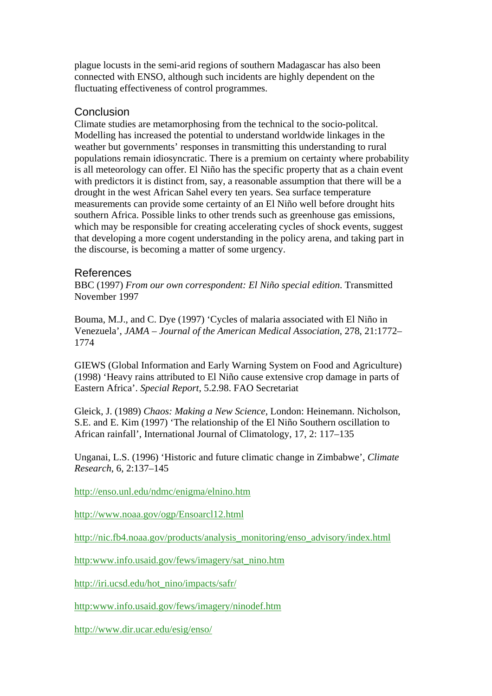plague locusts in the semi-arid regions of southern Madagascar has also been connected with ENSO, although such incidents are highly dependent on the fluctuating effectiveness of control programmes.

### **Conclusion**

Climate studies are metamorphosing from the technical to the socio-politcal. Modelling has increased the potential to understand worldwide linkages in the weather but governments' responses in transmitting this understanding to rural populations remain idiosyncratic. There is a premium on certainty where probability is all meteorology can offer. El Niño has the specific property that as a chain event with predictors it is distinct from, say, a reasonable assumption that there will be a drought in the west African Sahel every ten years. Sea surface temperature measurements can provide some certainty of an El Niño well before drought hits southern Africa. Possible links to other trends such as greenhouse gas emissions, which may be responsible for creating accelerating cycles of shock events, suggest that developing a more cogent understanding in the policy arena, and taking part in the discourse, is becoming a matter of some urgency.

#### References

BBC (1997) *From our own correspondent: El Niño special edition*. Transmitted November 1997

Bouma, M.J., and C. Dye (1997) 'Cycles of malaria associated with El Niño in Venezuela', *JAMA – Journal of the American Medical Association*, 278, 21:1772– 1774

GIEWS (Global Information and Early Warning System on Food and Agriculture) (1998) 'Heavy rains attributed to El Niño cause extensive crop damage in parts of Eastern Africa'. *Special Report*, 5.2.98. FAO Secretariat

Gleick, J. (1989) *Chaos: Making a New Science*, London: Heinemann. Nicholson, S.E. and E. Kim (1997) 'The relationship of the El Niño Southern oscillation to African rainfall', International Journal of Climatology, 17, 2: 117–135

Unganai, L.S. (1996) 'Historic and future climatic change in Zimbabwe', *Climate Research*, 6, 2:137–145

<http://enso.unl.edu/ndmc/enigma/elnino.htm>

<http://www.noaa.gov/ogp/Ensoarcl12.html>

[http://nic.fb4.noaa.gov/products/analysis\\_monitoring/enso\\_advisory/index.html](http://nic.fb4.noaa.gov/products/analysis_monitoring/enso_advisory/index.html) 

[http:www.info.usaid.gov/fews/imagery/sat\\_nino.htm](http:www.info.usaid.gov/fews/imagery/sat_nino.htm) 

[http://iri.ucsd.edu/hot\\_nino/impacts/safr/](http://iri.ucsd.edu/hot_nino/impacts/safr/) 

<http:www.info.usaid.gov/fews/imagery/ninodef.htm>

<http://www.dir.ucar.edu/esig/enso/>